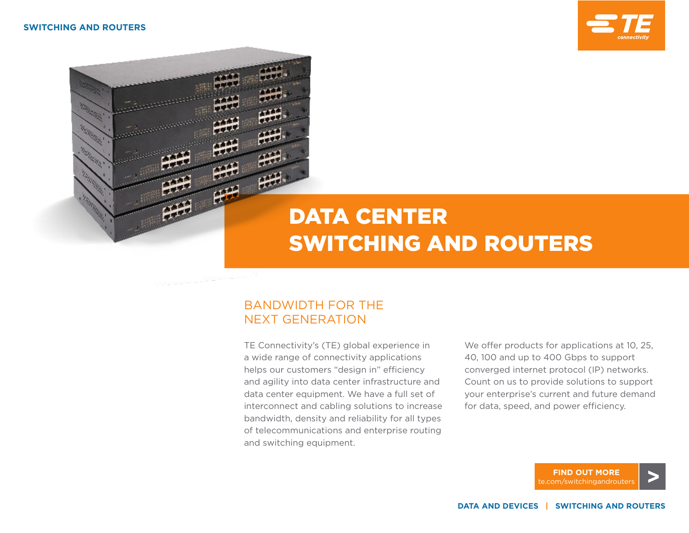

## DATA CENTER SWITCHING AND ROUTERS

## BANDWIDTH FOR THE NEXT GENERATION

 $-1$ أبلغت **TAX** 

للزبع

**HH** 

 $H^{\mu\nu}$ 

**INSTRUMENT** 

TE Connectivity's (TE) global experience in a wide range of connectivity applications helps our customers "design in" efficiency and agility into data center infrastructure and data center equipment. We have a full set of interconnect and cabling solutions to increase bandwidth, density and reliability for all types of telecommunications and enterprise routing and switching equipment.

We offer products for applications at 10, 25, 40, 100 and up to 400 Gbps to support converged internet protocol (IP) networks. Count on us to provide solutions to support your enterprise's current and future demand for data, speed, and power efficiency.

> **FIND OUT MORE** [te.com/switchingandrouters](http://www.te.com/switchingandrouters) **[>](http://www.te.com/switchingandrouters)**